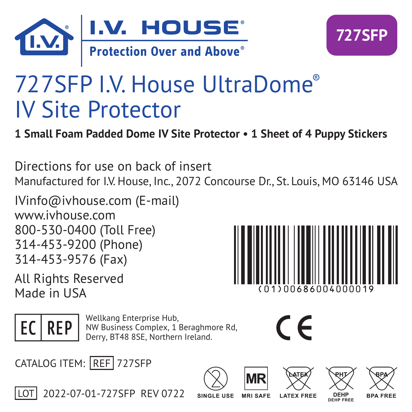



# 727SFP I.V. House UltraDome® IV Site Protector

**1 Small Foam Padded Dome IV Site Protector • 1 Sheet of 4 Puppy Stickers** 

Directions for use on back of insert Manufactured for I.V. House, Inc., 2072 Concourse Dr., St. Louis, MO 63146 USA

IVinfo@ivhouse.com (E-mail) www.ivhouse.com 800-530-0400 (Toll Free) 314-453-9200 (Phone) 314-453-9576 (Fax)

All Rights Reserved Made in USA





Wellkang Enterprise Hub,<br> **EC REP** NW Business Complex, 1 Beraghmore Rd, Derry, BT48 8SE, Northern Ireland.



CATALOG ITEM: REF 727SFP



LOT 2022-07-01-727SFP RFV 0722